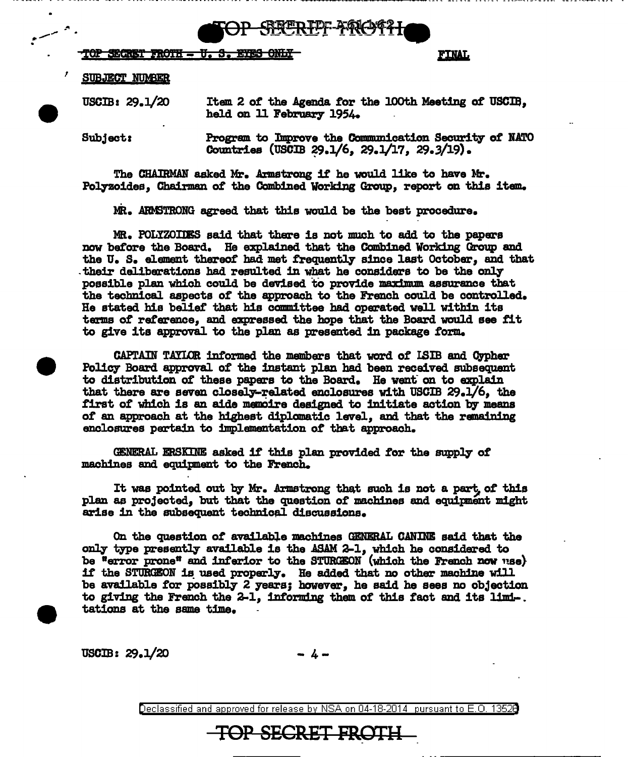79869971

# TOP SEGRET FROTH - U.S. EVES ONLY

**FINAL** 

### SUBJECT NUMBER

 $\text{USCIB}: 29.1/20$ 

Item 2 of the Agenda for the 100th Meeting of USCIB, held on 11 February 1954.

Subject:

 $\ddot{\phantom{a}}$ 

Program to Improve the Communication Security of NATO Countries (USCIB  $29.1/6$ ,  $29.1/17$ ,  $29.3/19$ ).

The CHAIRMAN asked Mr. Armstrong it he would like to have Mr, Polyzoides, Chairman of the Combined Working Group, report on this item.

MR. ARMSTRONG agreed that this would be the best procedure.

MR. POLYZOIDES said that there is not much to add to the papers now before the Board. He explained that the Combined Working Group and the U, S, element thereof' had met frequently since last October, and that their deliberations had resulted in what he considers to be the only possible p1an which could be devised to provide maxfmnm. assurance that the technical aspects *ot* the approach to the French could be controlled, He stated his belief that his camm:lttee had operated well within its terms of reference, and apressed the hope that the Board would see tit to give its approval to the plan as presented in package form.

CAPTAIN TAYLOR informed the members that word of ISIB and Oypher Policy Board approval of the instant plan had been received subsequent to distribution of these papers to the Board. He went on to explain that there are seven closely-related enclosures with USCIB  $29.1/6$ , the first of which is an aide memoire designed to initiate action by means *ot* an approach at the h:lghest diplomatic level, and that the remaining enclosures pertain to implementation of that approach.

GENERAL ERSKINE asked if this plan provided for the supply of machines and equipment to the French.

It was pointed out by Mr. Armstrong that such is not a part of this plan as projected, but that the question of machines and equipment might arise in the subsequent technical discussions.

On the question *ot* available machines GENERAL CANINE said that the only type presently available is the ASAM 2-1, which he considered to be "error prone" and inferior to the STURGEON' (which the French now use) if the STURGEON is used properly. He added that no other machine will be available for possibly 2 years; however, he said he sees no objection to giving the French the 2-1, informing them of this fact and its limi-. tations at the same time,

 $\text{USCIB: } 29.1/20$  - 4-

TOP SECRET FROTH

Declassified and approved for release by NSA on 04-18-2014 pursuant to E. 0. 1352B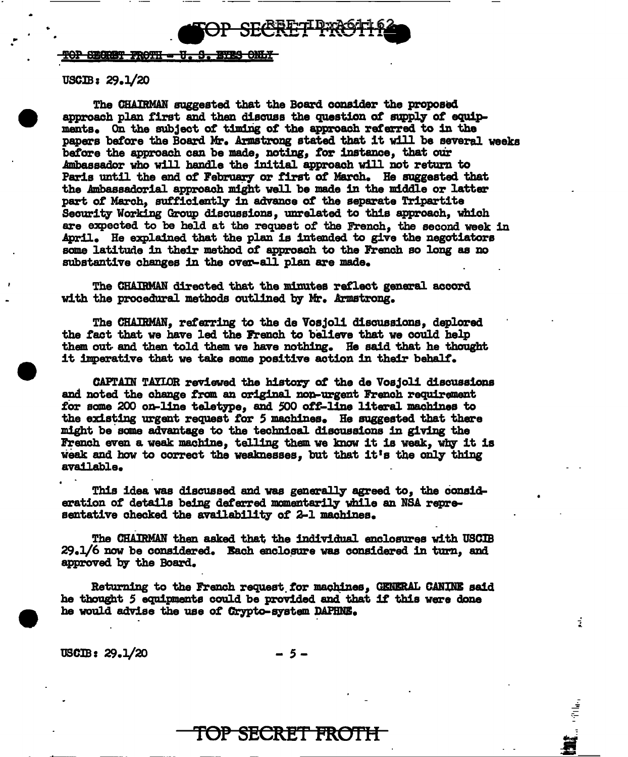

## **POP SECRET FROTH - U. S. EYES ONLY**

## USCIB: 29.1/20

 $\mathcal{L}^{(1)}$  .

The CBAIRMAH suggested that the Board consider the proposed approach plan first and then discuss the question of supply of equipm.ents. On the subject *ot* t.1m1rig of the approach referred to in the papers before the Board Mr. Armstrong stated that it will be several weeks baf'ore the approach can be made, noting, *tor* instance, that our Ambassador who will handle the 1n1t1al approach will not return to Paris until the end of February or first of March. He suggested that the Ambassadorial approach might well be made in the middle or latter part of March, sufficiently in advance of the separate Tripartite Security" Working Group discussiona, unrelated to this approach, which are expected to be held at the request of the French, the second week in April. He explained that the plan is intended to give the negotiators some latitude in their method of approach to the French so long as no substantive changes in the over-all plan are made.

The CRAlltMAN directed that the minutes reflect general accord with the procedural methods outlined by Mr. Armstrong.

The CHAIRMAN, referring to the de Vosjoli discussions, deplored the fact that we have led the French to believe that we could help them out· and than told them ve have nothing. He said that he thought it imperative that we take some positive action 1n their behalf'.

CAPTAIN TAYIOR reviewed the history of the de Vosjoli discussions and noted the change from an original non-urgent French requirement for some 200 on-line teletype, and 500 off-line literal machines to the existing urgent request for 5 machines. He suggested that there might be some advantage to the techn1cal discussions in giving the French even a weak machine, telling them we know it is weak, why it is weak and how to correct the weaknesses, but that it's the only thing available,

This idea was discussed and was generally agreed to, the consideration of details being deferred momentarily while an NSA representative checked the availability of 2-1 machines.

The CHAIRMAN then asked that the individual enclosures with USCIB  $29.1/6$  now be considered. Each enclosure was considered in turn, and approved by the Board.

Returning to the French request for machines, GENERAL CANINE said he thought 5 equipments could be provided and that if this were done he would advise the use of Crypto-system DAPHNE.

USCIB: 29.1/20 - *s-*

í

-<br>データ<br>-

TOP SECRET FROTH